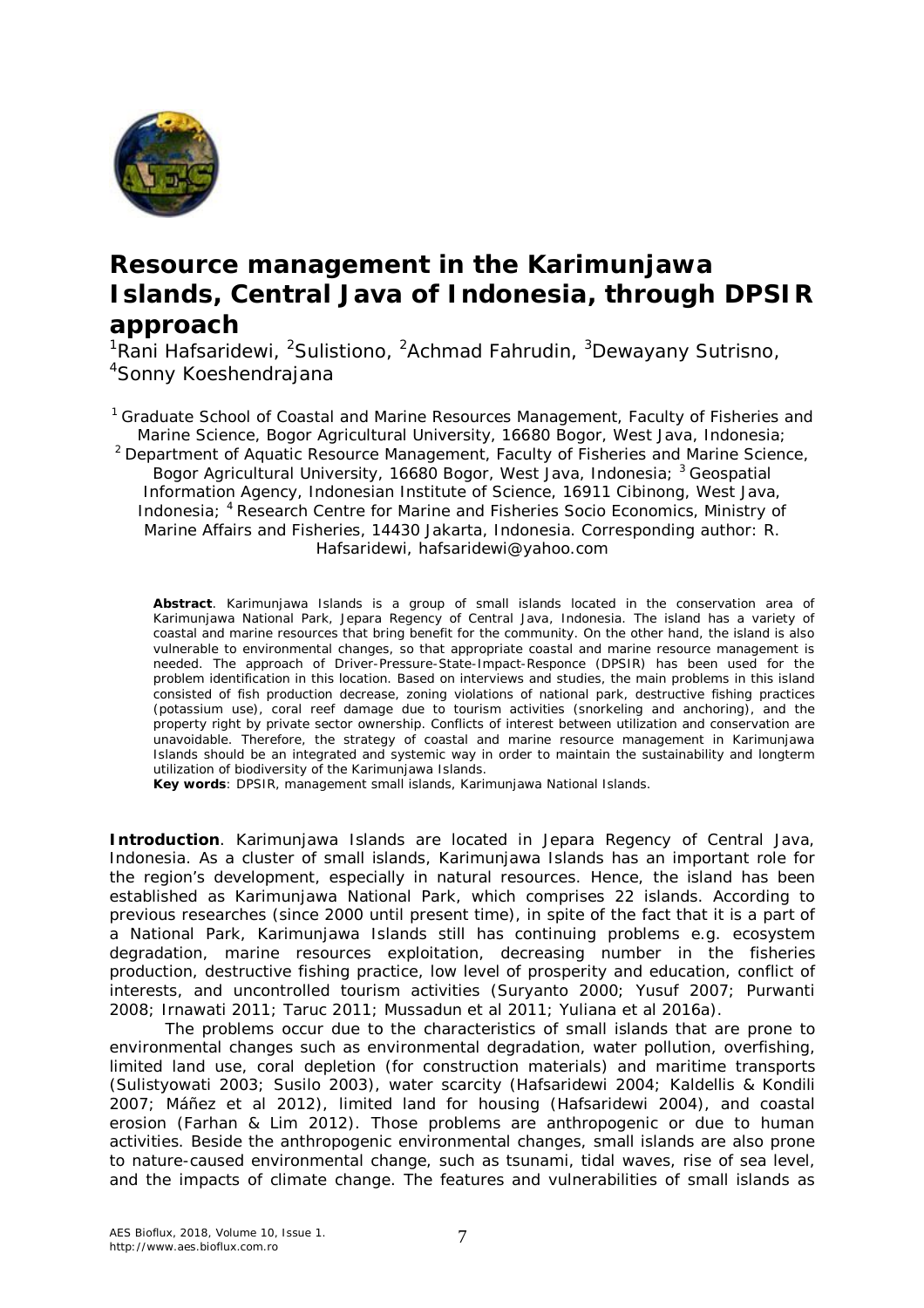

## **Resource management in the Karimunjawa Islands, Central Java of Indonesia, through DPSIR approach**

<sup>1</sup>Rani Hafsaridewi, <sup>2</sup>Sulistiono, <sup>2</sup>Achmad Fahrudin, <sup>3</sup>Dewayany Sutrisno, <sup>4</sup>Sonny Koeshendrajana

<sup>1</sup> Graduate School of Coastal and Marine Resources Management, Faculty of Fisheries and Marine Science, Bogor Agricultural University, 16680 Bogor, West Java, Indonesia; <sup>2</sup> Department of Aquatic Resource Management, Faculty of Fisheries and Marine Science, Bogor Agricultural University, 16680 Bogor, West Java, Indonesia; <sup>3</sup> Geospatial Information Agency, Indonesian Institute of Science, 16911 Cibinong, West Java, Indonesia; <sup>4</sup> Research Centre for Marine and Fisheries Socio Economics, Ministry of Marine Affairs and Fisheries, 14430 Jakarta, Indonesia. Corresponding author: R. Hafsaridewi, hafsaridewi@yahoo.com

**Abstract**. Karimunjawa Islands is a group of small islands located in the conservation area of Karimunjawa National Park, Jepara Regency of Central Java, Indonesia. The island has a variety of coastal and marine resources that bring benefit for the community. On the other hand, the island is also vulnerable to environmental changes, so that appropriate coastal and marine resource management is needed. The approach of Driver-Pressure-State-Impact-Responce (DPSIR) has been used for the problem identification in this location. Based on interviews and studies, the main problems in this island consisted of fish production decrease, zoning violations of national park, destructive fishing practices (potassium use), coral reef damage due to tourism activities (snorkeling and anchoring), and the property right by private sector ownership. Conflicts of interest between utilization and conservation are unavoidable. Therefore, the strategy of coastal and marine resource management in Karimunjawa Islands should be an integrated and systemic way in order to maintain the sustainability and longterm utilization of biodiversity of the Karimunjawa Islands.

**Key words**: DPSIR, management small islands, Karimunjawa National Islands.

**Introduction**. Karimunjawa Islands are located in Jepara Regency of Central Java, Indonesia. As a cluster of small islands, Karimunjawa Islands has an important role for the region's development, especially in natural resources. Hence, the island has been established as Karimunjawa National Park, which comprises 22 islands. According to previous researches (since 2000 until present time), in spite of the fact that it is a part of a National Park, Karimunjawa Islands still has continuing problems e.g. ecosystem degradation, marine resources exploitation, decreasing number in the fisheries production, destructive fishing practice, low level of prosperity and education, conflict of interests, and uncontrolled tourism activities (Suryanto 2000; Yusuf 2007; Purwanti 2008; Irnawati 2011; Taruc 2011; Mussadun et al 2011; Yuliana et al 2016a).

The problems occur due to the characteristics of small islands that are prone to environmental changes such as environmental degradation, water pollution, overfishing, limited land use, coral depletion (for construction materials) and maritime transports (Sulistyowati 2003; Susilo 2003), water scarcity (Hafsaridewi 2004; Kaldellis & Kondili 2007; Máñez et al 2012), limited land for housing (Hafsaridewi 2004), and coastal erosion (Farhan & Lim 2012). Those problems are anthropogenic or due to human activities. Beside the anthropogenic environmental changes, small islands are also prone to nature-caused environmental change, such as tsunami, tidal waves, rise of sea level, and the impacts of climate change. The features and vulnerabilities of small islands as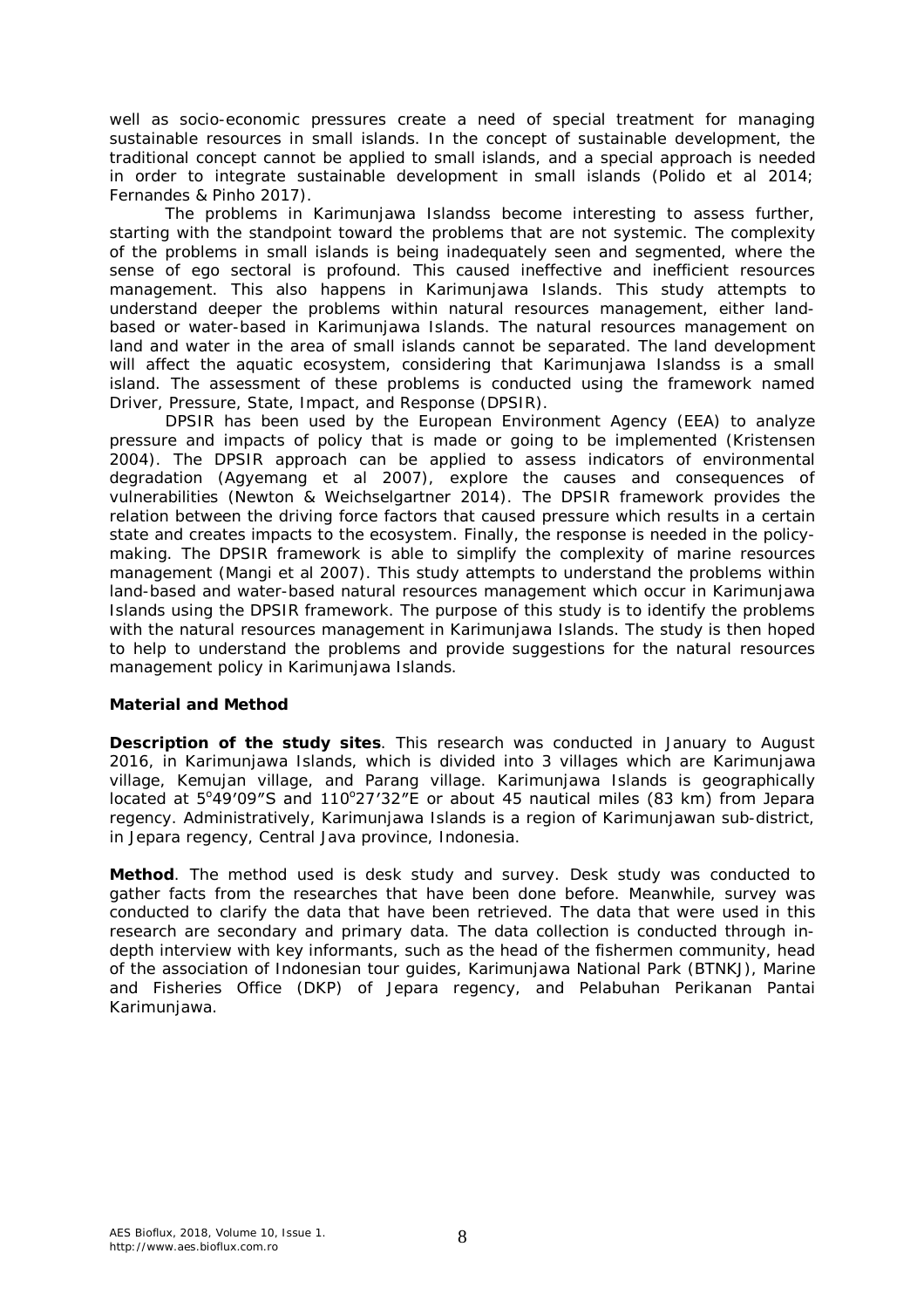well as socio-economic pressures create a need of special treatment for managing sustainable resources in small islands. In the concept of sustainable development, the traditional concept cannot be applied to small islands, and a special approach is needed in order to integrate sustainable development in small islands (Polido et al 2014; Fernandes & Pinho 2017).

The problems in Karimunjawa Islandss become interesting to assess further, starting with the standpoint toward the problems that are not systemic. The complexity of the problems in small islands is being inadequately seen and segmented, where the sense of ego sectoral is profound. This caused ineffective and inefficient resources management. This also happens in Karimunjawa Islands. This study attempts to understand deeper the problems within natural resources management, either landbased or water-based in Karimunjawa Islands. The natural resources management on land and water in the area of small islands cannot be separated. The land development will affect the aquatic ecosystem, considering that Karimunjawa Islandss is a small island. The assessment of these problems is conducted using the framework named Driver, Pressure, State, Impact, and Response (DPSIR).

DPSIR has been used by the European Environment Agency (EEA) to analyze pressure and impacts of policy that is made or going to be implemented (Kristensen 2004). The DPSIR approach can be applied to assess indicators of environmental degradation (Agyemang et al 2007), explore the causes and consequences of vulnerabilities (Newton & Weichselgartner 2014). The DPSIR framework provides the relation between the driving force factors that caused pressure which results in a certain state and creates impacts to the ecosystem. Finally, the response is needed in the policymaking. The DPSIR framework is able to simplify the complexity of marine resources management (Mangi et al 2007). This study attempts to understand the problems within land-based and water-based natural resources management which occur in Karimunjawa Islands using the DPSIR framework. The purpose of this study is to identify the problems with the natural resources management in Karimunjawa Islands. The study is then hoped to help to understand the problems and provide suggestions for the natural resources management policy in Karimunjawa Islands.

## **Material and Method**

*Description of the study sites.* This research was conducted in January to August 2016, in Karimunjawa Islands, which is divided into 3 villages which are Karimunjawa village, Kemujan village, and Parang village. Karimunjawa Islands is geographically located at 5°49'09"S and 110°27'32"E or about 45 nautical miles (83 km) from Jepara regency. Administratively, Karimunjawa Islands is a region of Karimunjawan sub-district, in Jepara regency, Central Java province, Indonesia.

*Method*. The method used is desk study and survey. Desk study was conducted to gather facts from the researches that have been done before. Meanwhile, survey was conducted to clarify the data that have been retrieved. The data that were used in this research are secondary and primary data. The data collection is conducted through indepth interview with key informants, such as the head of the fishermen community, head of the association of Indonesian tour guides, Karimunjawa National Park (BTNKJ), Marine and Fisheries Office (DKP) of Jepara regency, and Pelabuhan Perikanan Pantai Karimunjawa.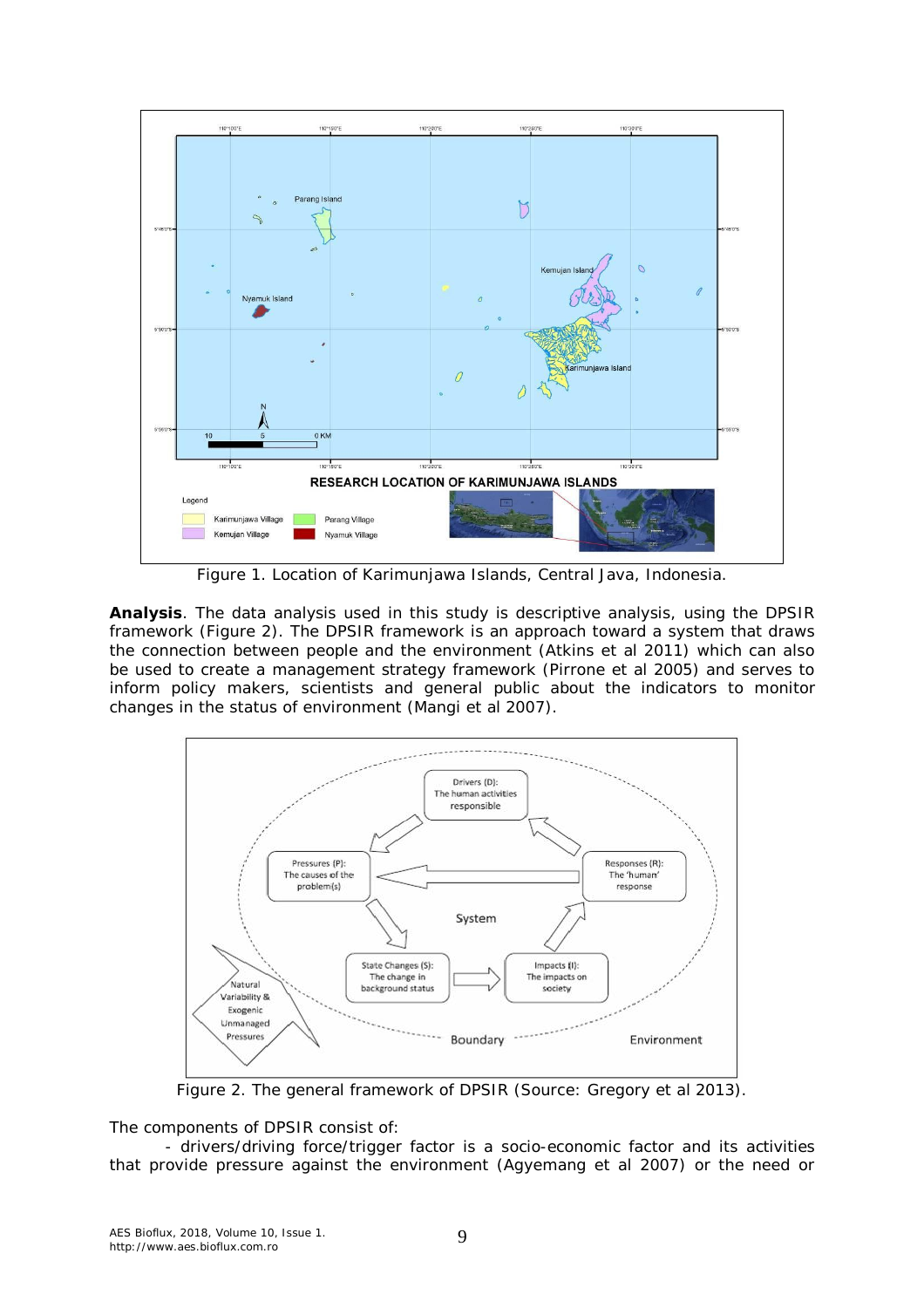

Figure 1. Location of Karimunjawa Islands, Central Java, Indonesia.

*Analysis*. The data analysis used in this study is descriptive analysis, using the DPSIR framework (Figure 2). The DPSIR framework is an approach toward a system that draws the connection between people and the environment (Atkins et al 2011) which can also be used to create a management strategy framework (Pirrone et al 2005) and serves to inform policy makers, scientists and general public about the indicators to monitor changes in the status of environment (Mangi et al 2007).



Figure 2. The general framework of DPSIR (Source: Gregory et al 2013).

The components of DPSIR consist of:

- drivers/driving force/trigger factor is a socio-economic factor and its activities that provide pressure against the environment (Agyemang et al 2007) or the need or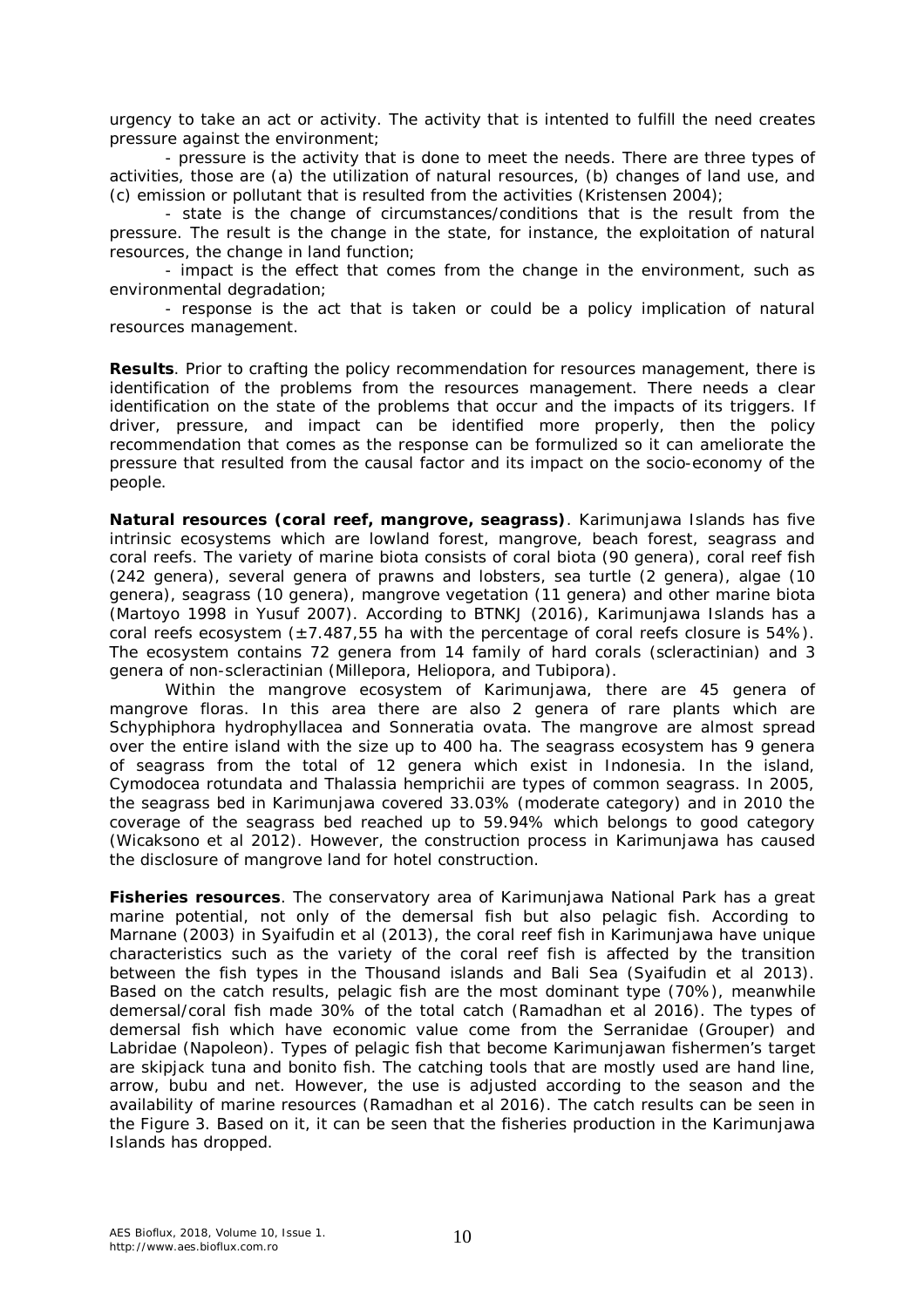urgency to take an act or activity. The activity that is intented to fulfill the need creates pressure against the environment;

- pressure is the activity that is done to meet the needs. There are three types of activities, those are (a) the utilization of natural resources, (b) changes of land use, and (c) emission or pollutant that is resulted from the activities (Kristensen 2004);

- state is the change of circumstances/conditions that is the result from the pressure. The result is the change in the state, for instance, the exploitation of natural resources, the change in land function;

- impact is the effect that comes from the change in the environment, such as environmental degradation;

- response is the act that is taken or could be a policy implication of natural resources management.

**Results**. Prior to crafting the policy recommendation for resources management, there is identification of the problems from the resources management. There needs a clear identification on the state of the problems that occur and the impacts of its triggers. If driver, pressure, and impact can be identified more properly, then the policy recommendation that comes as the response can be formulized so it can ameliorate the pressure that resulted from the causal factor and its impact on the socio-economy of the people.

*Natural resources (coral reef, mangrove, seagrass)*. Karimunjawa Islands has five intrinsic ecosystems which are lowland forest, mangrove, beach forest, seagrass and coral reefs. The variety of marine biota consists of coral biota (90 genera), coral reef fish (242 genera), several genera of prawns and lobsters, sea turtle (2 genera), algae (10 genera), seagrass (10 genera), mangrove vegetation (11 genera) and other marine biota (Martoyo 1998 in Yusuf 2007). According to BTNKJ (2016), Karimunjawa Islands has a coral reefs ecosystem  $(\pm 7.487, 55$  ha with the percentage of coral reefs closure is 54%). The ecosystem contains 72 genera from 14 family of hard corals (scleractinian) and 3 genera of non-scleractinian (Millepora, Heliopora, and Tubipora).

Within the mangrove ecosystem of Karimunjawa, there are 45 genera of mangrove floras. In this area there are also 2 genera of rare plants which are *Schyphiphora hydrophyllacea* and *Sonneratia ovata.* The mangrove are almost spread over the entire island with the size up to 400 ha. The seagrass ecosystem has 9 genera of seagrass from the total of 12 genera which exist in Indonesia. In the island, *Cymodocea rotundata* and *Thalassia hemprichii* are types of common seagrass. In 2005, the seagrass bed in Karimunjawa covered 33.03% (moderate category) and in 2010 the coverage of the seagrass bed reached up to 59.94% which belongs to good category (Wicaksono et al 2012). However, the construction process in Karimunjawa has caused the disclosure of mangrove land for hotel construction.

*Fisheries resources.* The conservatory area of Karimunjawa National Park has a great marine potential, not only of the demersal fish but also pelagic fish. According to Marnane (2003) in Syaifudin et al (2013), the coral reef fish in Karimunjawa have unique characteristics such as the variety of the coral reef fish is affected by the transition between the fish types in the Thousand islands and Bali Sea (Syaifudin et al 2013). Based on the catch results, pelagic fish are the most dominant type (70%), meanwhile demersal/coral fish made 30% of the total catch (Ramadhan et al 2016). The types of demersal fish which have economic value come from the Serranidae (Grouper) and Labridae (Napoleon). Types of pelagic fish that become Karimunjawan fishermen's target are skipjack tuna and bonito fish. The catching tools that are mostly used are hand line, arrow, *bubu* and net. However, the use is adjusted according to the season and the availability of marine resources (Ramadhan et al 2016). The catch results can be seen in the Figure 3. Based on it, it can be seen that the fisheries production in the Karimunjawa Islands has dropped.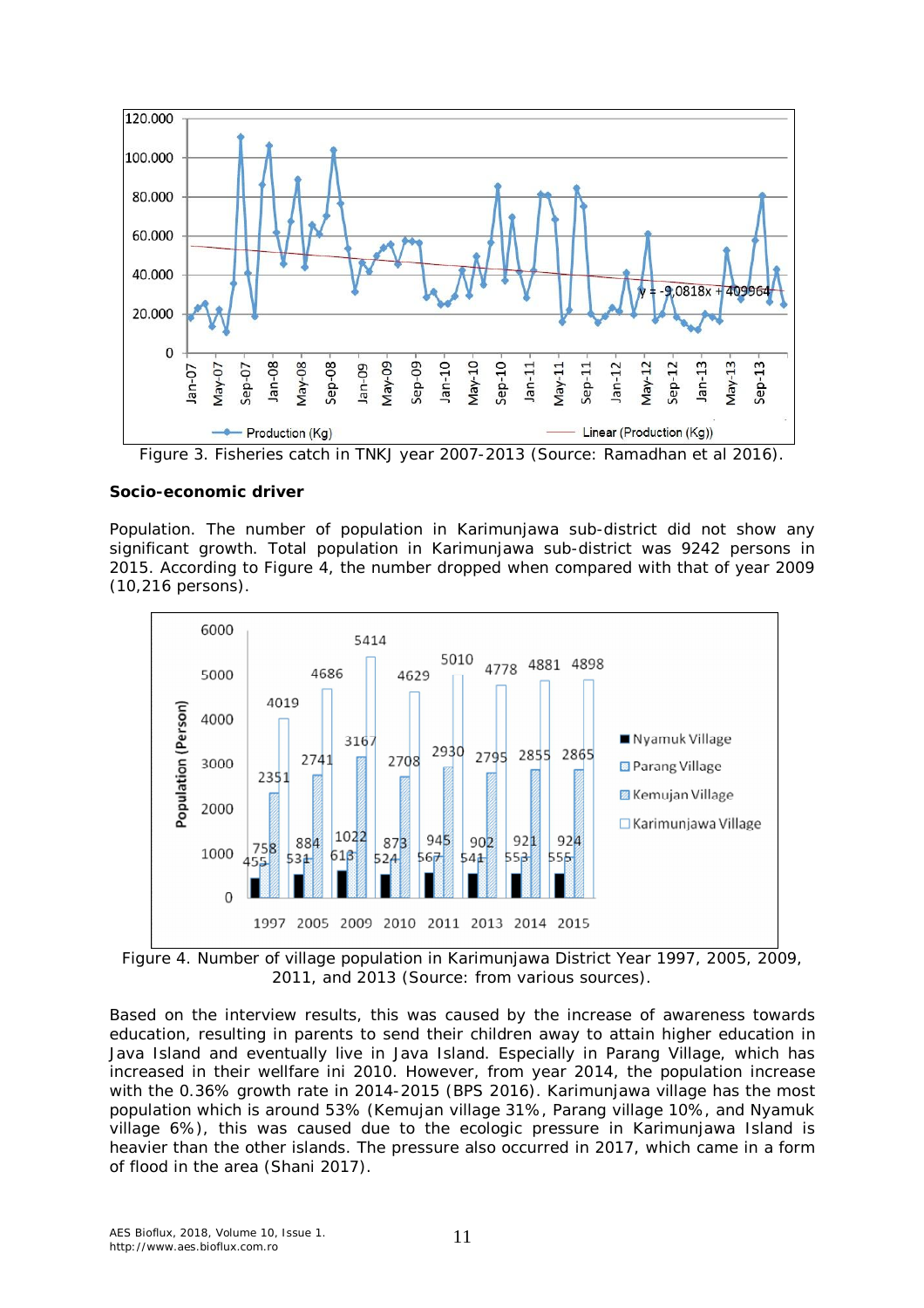

Figure 3. Fisheries catch in TNKJ year 2007-2013 (Source: Ramadhan et al 2016).

## *Socio-economic driver*

*Population*. The number of population in Karimunjawa sub-district did not show any significant growth. Total population in Karimunjawa sub-district was 9242 persons in 2015. According to Figure 4, the number dropped when compared with that of year 2009 (10,216 persons).



Figure 4. Number of village population in Karimunjawa District Year 1997, 2005, 2009, 2011, and 2013 (Source: from various sources).

Based on the interview results, this was caused by the increase of awareness towards education, resulting in parents to send their children away to attain higher education in Java Island and eventually live in Java Island. Especially in Parang Village, which has increased in their wellfare ini 2010. However, from year 2014, the population increase with the 0.36% growth rate in 2014-2015 (BPS 2016). Karimunjawa village has the most population which is around 53% (Kemujan village 31%, Parang village 10%, and Nyamuk village 6%), this was caused due to the ecologic pressure in Karimunjawa Island is heavier than the other islands. The pressure also occurred in 2017, which came in a form of flood in the area (Shani 2017).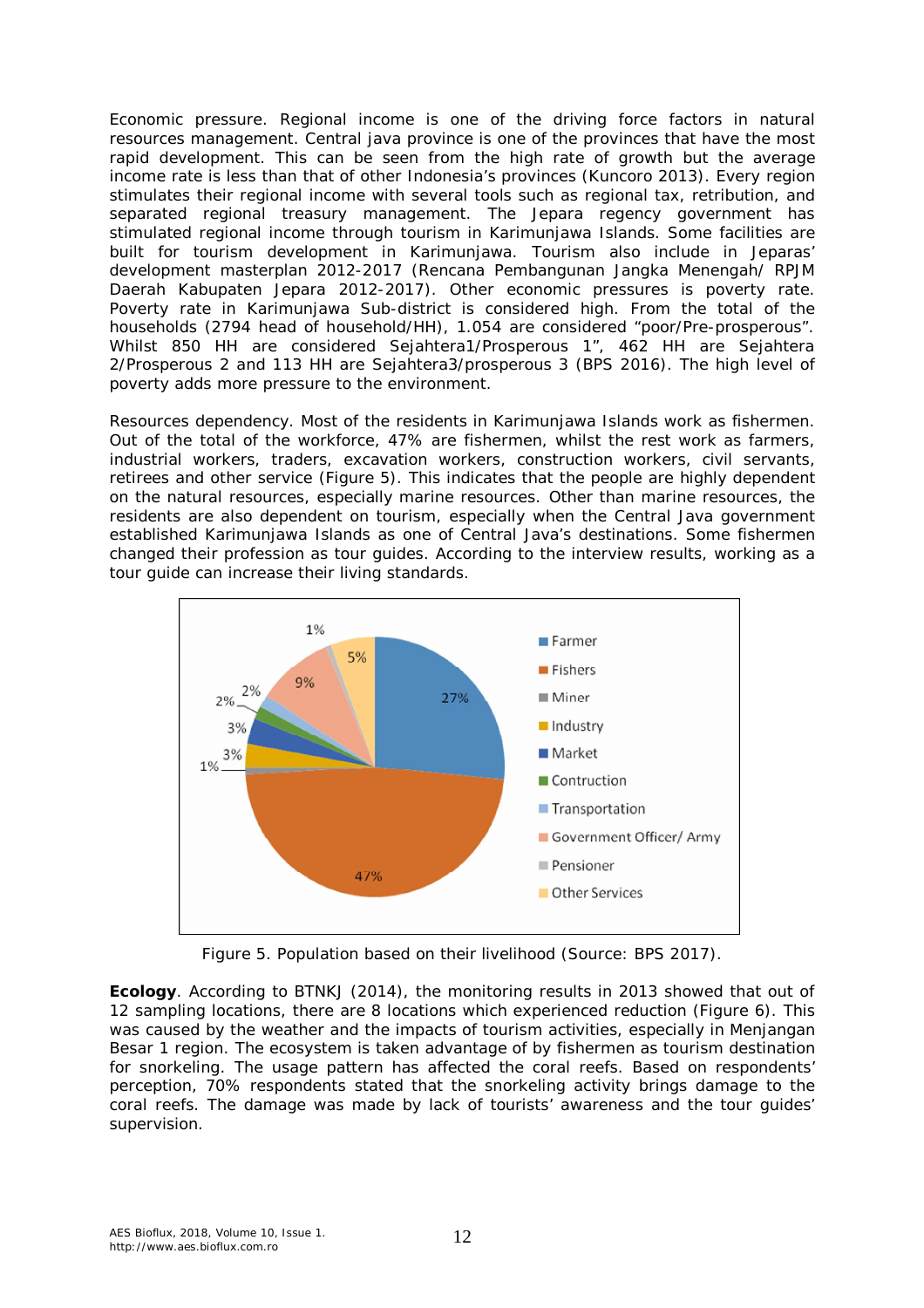*Economic pressure*. Regional income is one of the driving force factors in natural resources management. Central java province is one of the provinces that have the most rapid development. This can be seen from the high rate of growth but the average income rate is less than that of other Indonesia's provinces (Kuncoro 2013). Every region stimulates their regional income with several tools such as regional tax, retribution, and separated regional treasury management. The Jepara regency government has stimulated regional income through tourism in Karimunjawa Islands. Some facilities are built for tourism development in Karimunjawa. Tourism also include in Jeparas' development masterplan 2012-2017 (Rencana Pembangunan Jangka Menengah/ RPJM Daerah Kabupaten Jepara 2012-2017). Other economic pressures is poverty rate. Poverty rate in Karimunjawa Sub-district is considered high. From the total of the households (2794 head of household/HH), 1.054 are considered "poor/Pre-prosperous". Whilst 850 HH are considered *Sejahtera1*/Prosperous 1", 462 HH are *Sejahtera 2*/Prosperous 2 and 113 HH are *Sejahtera3*/prosperous 3 (BPS 2016). The high level of poverty adds more pressure to the environment.

*Resources dependency*. Most of the residents in Karimunjawa Islands work as fishermen. Out of the total of the workforce, 47% are fishermen, whilst the rest work as farmers, industrial workers, traders, excavation workers, construction workers, civil servants, retirees and other service (Figure 5). This indicates that the people are highly dependent on the natural resources, especially marine resources. Other than marine resources, the residents are also dependent on tourism, especially when the Central Java government established Karimunjawa Islands as one of Central Java's destinations. Some fishermen changed their profession as tour guides. According to the interview results, working as a tour guide can increase their living standards.



Figure 5. Population based on their livelihood (Source: BPS 2017).

*Ecology*. According to BTNKJ (2014), the monitoring results in 2013 showed that out of 12 sampling locations, there are 8 locations which experienced reduction (Figure 6). This was caused by the weather and the impacts of tourism activities, especially in Menjangan Besar 1 region. The ecosystem is taken advantage of by fishermen as tourism destination for snorkeling. The usage pattern has affected the coral reefs. Based on respondents' perception, 70% respondents stated that the snorkeling activity brings damage to the coral reefs. The damage was made by lack of tourists' awareness and the tour guides' supervision.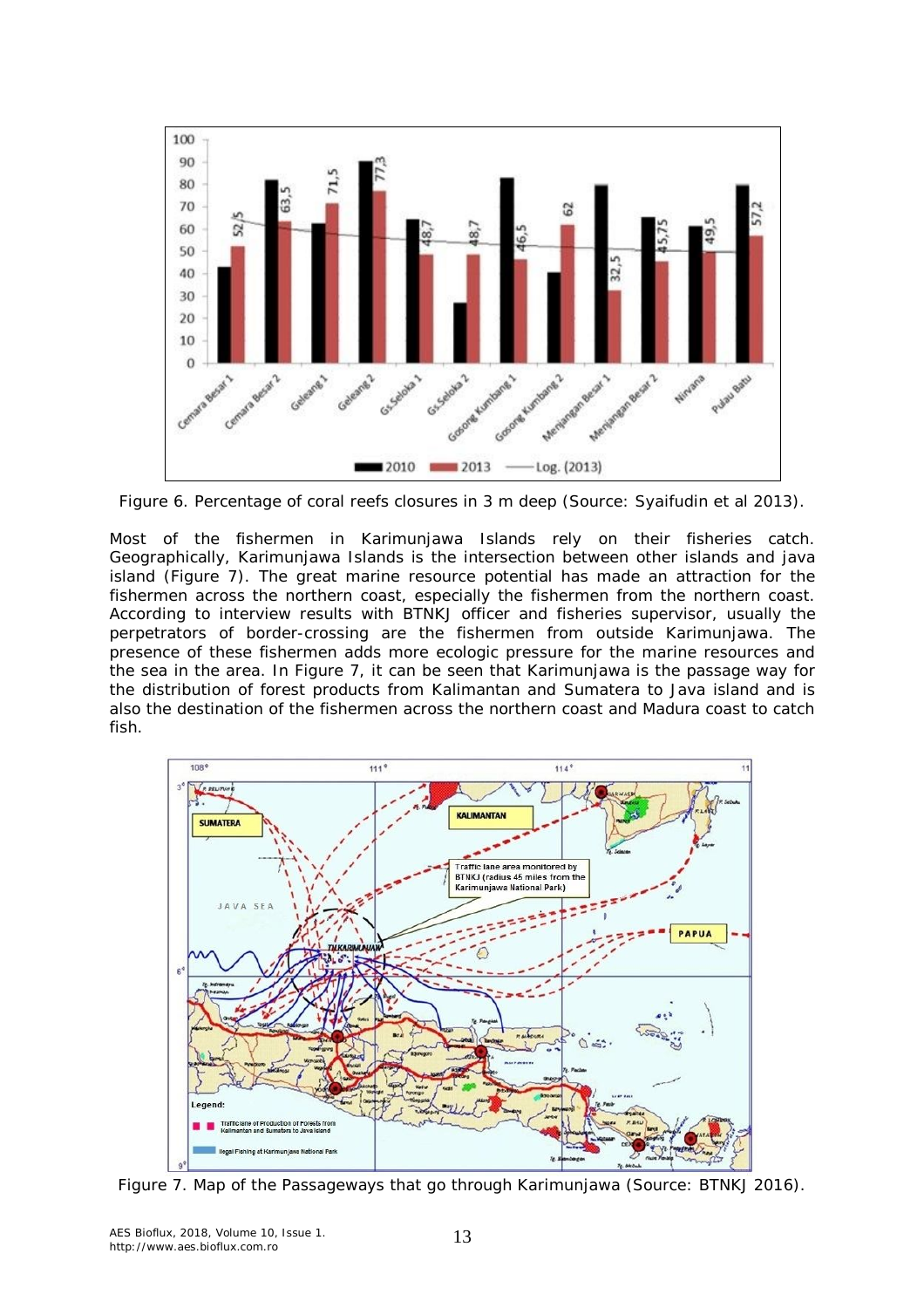

Figure 6. Percentage of coral reefs closures in 3 m deep (Source: Syaifudin et al 2013).

Most of the fishermen in Karimunjawa Islands rely on their fisheries catch. Geographically, Karimunjawa Islands is the intersection between other islands and java island (Figure 7). The great marine resource potential has made an attraction for the fishermen across the northern coast, especially the fishermen from the northern coast. According to interview results with BTNKJ officer and fisheries supervisor, usually the perpetrators of border-crossing are the fishermen from outside Karimunjawa. The presence of these fishermen adds more ecologic pressure for the marine resources and the sea in the area. In Figure 7, it can be seen that Karimunjawa is the passage way for the distribution of forest products from Kalimantan and Sumatera to Java island and is also the destination of the fishermen across the northern coast and Madura coast to catch fish.



Figure 7. Map of the Passageways that go through Karimunjawa (Source: BTNKJ 2016).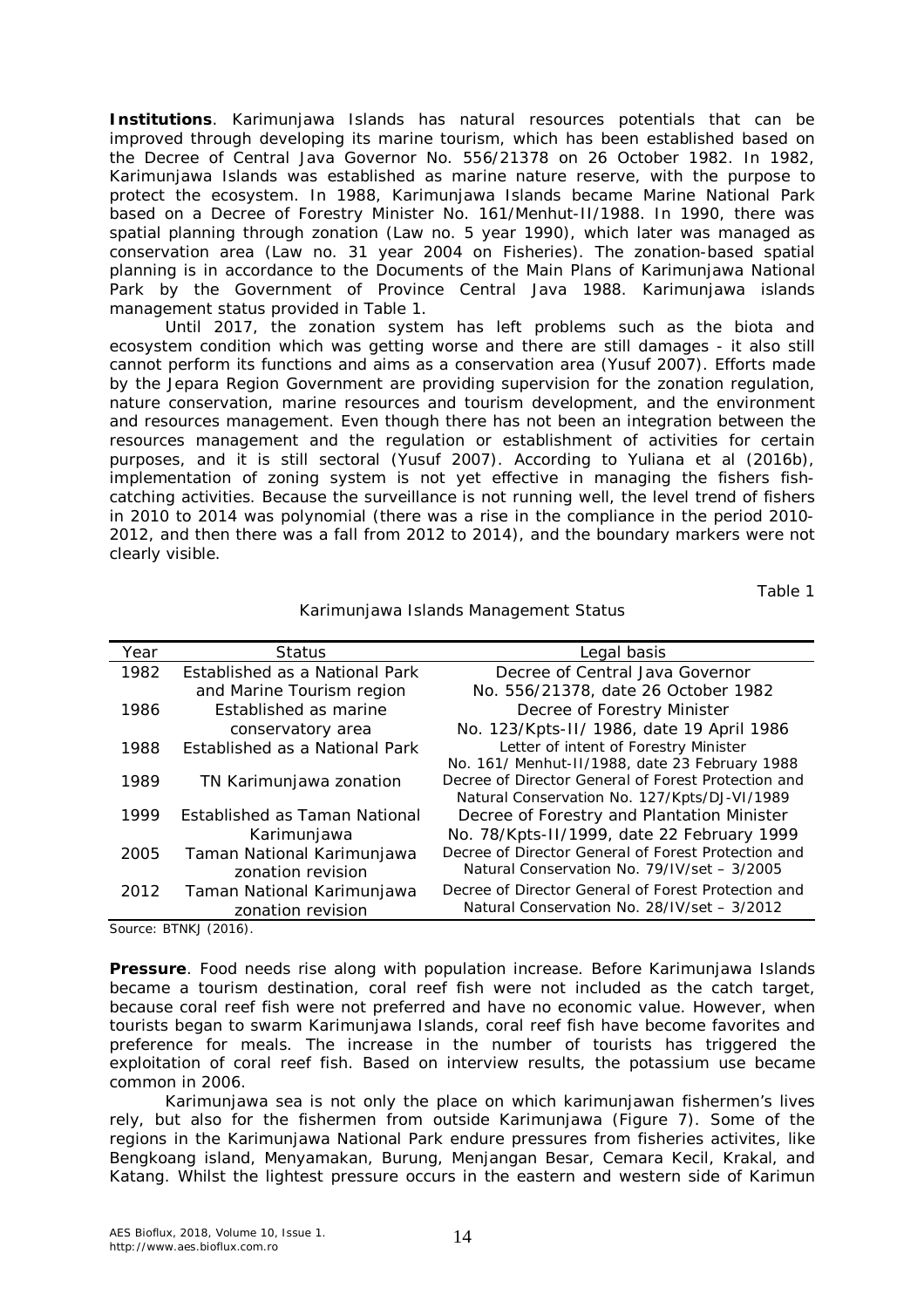*Institutions*. Karimunjawa Islands has natural resources potentials that can be improved through developing its marine tourism, which has been established based on the Decree of Central Java Governor No. 556/21378 on 26 October 1982. In 1982, Karimunjawa Islands was established as marine nature reserve, with the purpose to protect the ecosystem. In 1988, Karimunjawa Islands became Marine National Park based on a Decree of Forestry Minister No. 161/Menhut-II/1988. In 1990, there was spatial planning through zonation (Law no. 5 year 1990), which later was managed as conservation area (Law no. 31 year 2004 on Fisheries). The zonation-based spatial planning is in accordance to the Documents of the Main Plans of Karimunjawa National Park by the Government of Province Central Java 1988. Karimunjawa islands management status provided in Table 1.

Until 2017, the zonation system has left problems such as the biota and ecosystem condition which was getting worse and there are still damages - it also still cannot perform its functions and aims as a conservation area (Yusuf 2007). Efforts made by the Jepara Region Government are providing supervision for the zonation regulation, nature conservation, marine resources and tourism development, and the environment and resources management. Even though there has not been an integration between the resources management and the regulation or establishment of activities for certain purposes, and it is still sectoral (Yusuf 2007). According to Yuliana et al (2016b), implementation of zoning system is not yet effective in managing the fishers fishcatching activities. Because the surveillance is not running well, the level trend of fishers in 2010 to 2014 was polynomial (there was a rise in the compliance in the period 2010- 2012, and then there was a fall from 2012 to 2014), and the boundary markers were not clearly visible.

Table 1

| Year | <b>Status</b>                  | Legal basis                                         |
|------|--------------------------------|-----------------------------------------------------|
| 1982 | Established as a National Park | Decree of Central Java Governor                     |
|      | and Marine Tourism region      | No. 556/21378, date 26 October 1982                 |
| 1986 | Established as marine          | Decree of Forestry Minister                         |
|      | conservatory area              | No. 123/Kpts-II/ 1986, date 19 April 1986           |
| 1988 | Established as a National Park | Letter of intent of Forestry Minister               |
|      |                                | No. 161/ Menhut-II/1988, date 23 February 1988      |
| 1989 | TN Karimunjawa zonation        | Decree of Director General of Forest Protection and |
|      |                                | Natural Conservation No. 127/Kpts/DJ-VI/1989        |
| 1999 | Established as Taman National  | Decree of Forestry and Plantation Minister          |
|      | Karimunjawa                    | No. 78/Kpts-II/1999, date 22 February 1999          |
| 2005 | Taman National Karimunjawa     | Decree of Director General of Forest Protection and |
|      | zonation revision              | Natural Conservation No. 79/IV/set - 3/2005         |
| 2012 | Taman National Karimunjawa     | Decree of Director General of Forest Protection and |
|      | zonation revision              | Natural Conservation No. 28/IV/set - 3/2012         |

Karimunjawa Islands Management Status

Source: BTNKJ (2016).

**Pressure**. Food needs rise along with population increase. Before Karimunjawa Islands became a tourism destination, coral reef fish were not included as the catch target, because coral reef fish were not preferred and have no economic value. However, when tourists began to swarm Karimunjawa Islands, coral reef fish have become favorites and preference for meals. The increase in the number of tourists has triggered the exploitation of coral reef fish. Based on interview results, the potassium use became common in 2006.

Karimunjawa sea is not only the place on which karimunjawan fishermen's lives rely, but also for the fishermen from outside Karimunjawa (Figure 7). Some of the regions in the Karimunjawa National Park endure pressures from fisheries activites, like Bengkoang island, Menyamakan, Burung, Menjangan Besar, Cemara Kecil, Krakal, and Katang. Whilst the lightest pressure occurs in the eastern and western side of Karimun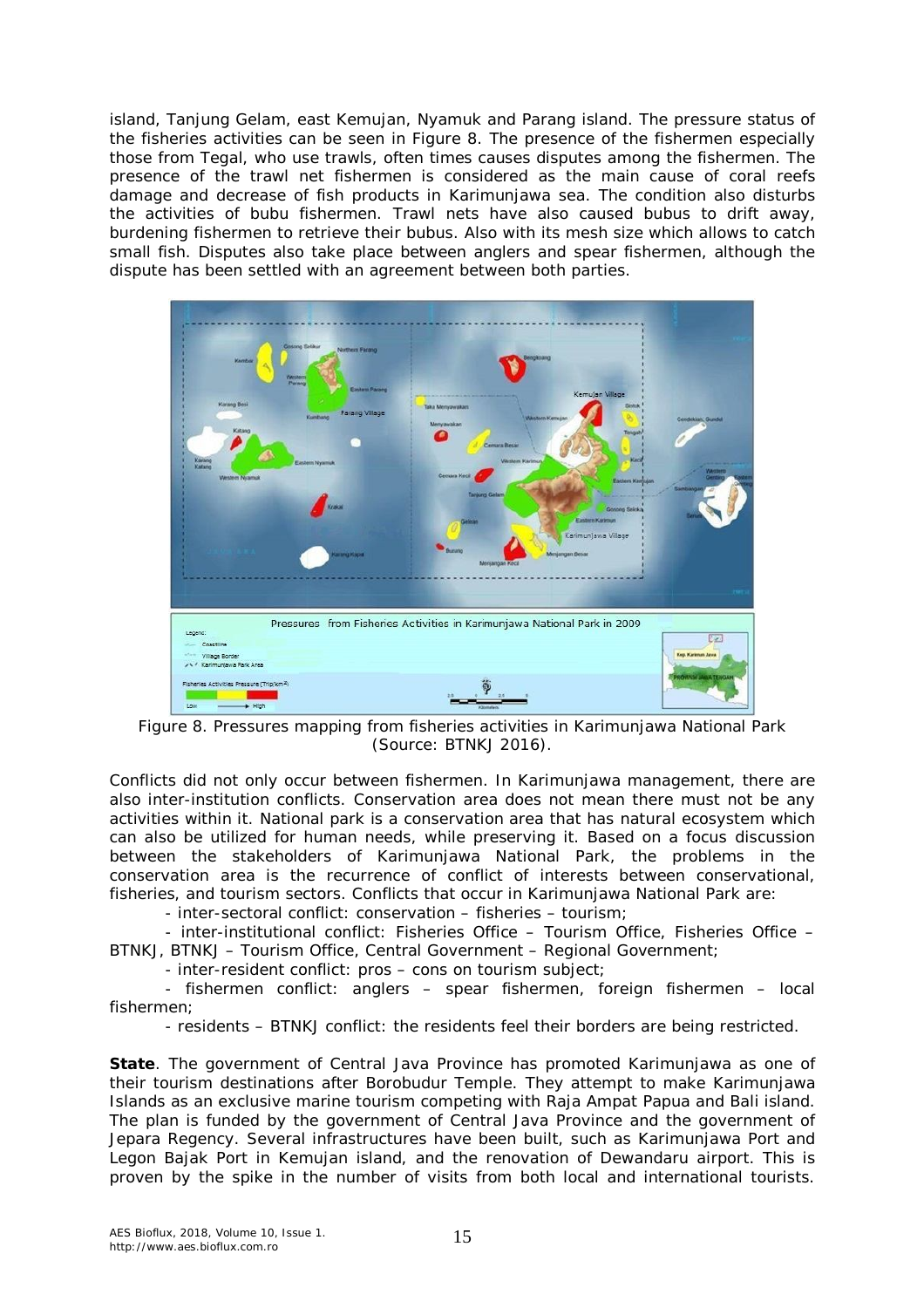island, Tanjung Gelam, east Kemujan, Nyamuk and Parang island. The pressure status of the fisheries activities can be seen in Figure 8. The presence of the fishermen especially those from Tegal, who use trawls, often times causes disputes among the fishermen. The presence of the trawl net fishermen is considered as the main cause of coral reefs damage and decrease of fish products in Karimunjawa sea. The condition also disturbs the activities of bubu fishermen. Trawl nets have also caused bubus to drift away, burdening fishermen to retrieve their bubus. Also with its mesh size which allows to catch small fish. Disputes also take place between anglers and spear fishermen, although the dispute has been settled with an agreement between both parties.



Figure 8. Pressures mapping from fisheries activities in Karimunjawa National Park (Source: BTNKJ 2016).

Conflicts did not only occur between fishermen. In Karimunjawa management, there are also inter-institution conflicts. Conservation area does not mean there must not be any activities within it. National park is a conservation area that has natural ecosystem which can also be utilized for human needs, while preserving it. Based on a focus discussion between the stakeholders of Karimunjawa National Park, the problems in the conservation area is the recurrence of conflict of interests between conservational, fisheries, and tourism sectors. Conflicts that occur in Karimunjawa National Park are:

- inter-sectoral conflict: conservation – fisheries – tourism;

- inter-institutional conflict: Fisheries Office – Tourism Office, Fisheries Office – BTNKJ, BTNKJ – Tourism Office, Central Government – Regional Government;

- inter-resident conflict: pros – cons on tourism subject;

- fishermen conflict: anglers – spear fishermen, foreign fishermen – local fishermen;

- residents – BTNKJ conflict: the residents feel their borders are being restricted.

*State.* The government of Central Java Province has promoted Karimunjawa as one of their tourism destinations after Borobudur Temple. They attempt to make Karimunjawa Islands as an exclusive marine tourism competing with Raja Ampat Papua and Bali island. The plan is funded by the government of Central Java Province and the government of Jepara Regency. Several infrastructures have been built, such as Karimunjawa Port and Legon Bajak Port in Kemujan island, and the renovation of Dewandaru airport. This is proven by the spike in the number of visits from both local and international tourists.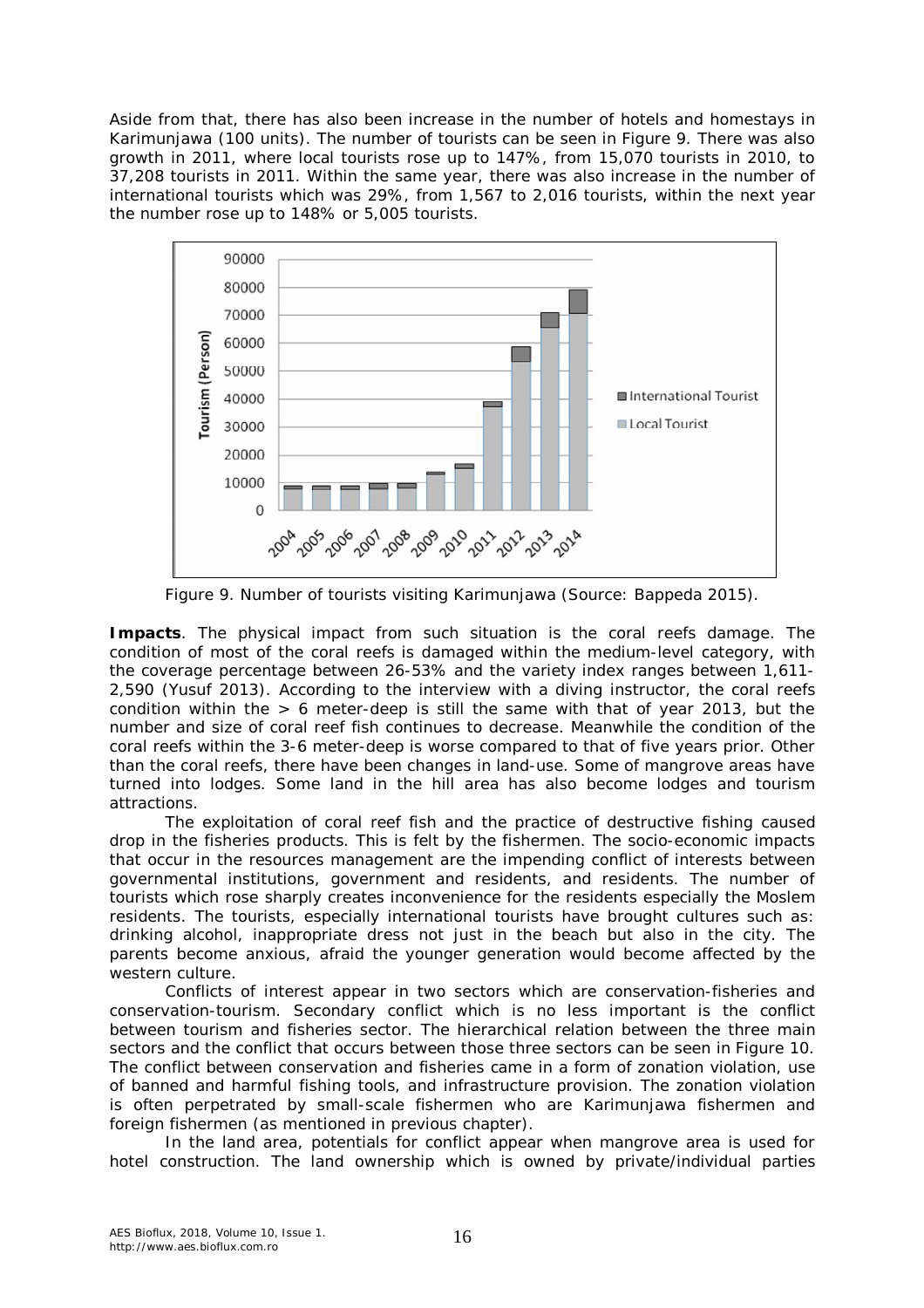Aside from that, there has also been increase in the number of hotels and homestays in Karimunjawa (100 units). The number of tourists can be seen in Figure 9. There was also growth in 2011, where local tourists rose up to 147%, from 15,070 tourists in 2010, to 37,208 tourists in 2011. Within the same year, there was also increase in the number of international tourists which was 29%, from 1,567 to 2,016 tourists, within the next year the number rose up to 148% or 5,005 tourists.



Figure 9. Number of tourists visiting Karimunjawa (Source: Bappeda 2015).

**Impacts**. The physical impact from such situation is the coral reefs damage. The condition of most of the coral reefs is damaged within the medium-level category, with the coverage percentage between 26-53% and the variety index ranges between 1,611- 2,590 (Yusuf 2013). According to the interview with a diving instructor, the coral reefs condition within the  $> 6$  meter-deep is still the same with that of year 2013, but the number and size of coral reef fish continues to decrease. Meanwhile the condition of the coral reefs within the 3-6 meter-deep is worse compared to that of five years prior. Other than the coral reefs, there have been changes in land-use. Some of mangrove areas have turned into lodges. Some land in the hill area has also become lodges and tourism attractions.

The exploitation of coral reef fish and the practice of destructive fishing caused drop in the fisheries products. This is felt by the fishermen. The socio-economic impacts that occur in the resources management are the impending conflict of interests between governmental institutions, government and residents, and residents. The number of tourists which rose sharply creates inconvenience for the residents especially the Moslem residents. The tourists, especially international tourists have brought cultures such as: drinking alcohol, inappropriate dress not just in the beach but also in the city. The parents become anxious, afraid the younger generation would become affected by the western culture.

Conflicts of interest appear in two sectors which are conservation-fisheries and conservation-tourism. Secondary conflict which is no less important is the conflict between tourism and fisheries sector. The hierarchical relation between the three main sectors and the conflict that occurs between those three sectors can be seen in Figure 10. The conflict between conservation and fisheries came in a form of zonation violation, use of banned and harmful fishing tools, and infrastructure provision. The zonation violation is often perpetrated by small-scale fishermen who are Karimunjawa fishermen and foreign fishermen (as mentioned in previous chapter).

In the land area, potentials for conflict appear when mangrove area is used for hotel construction. The land ownership which is owned by private/individual parties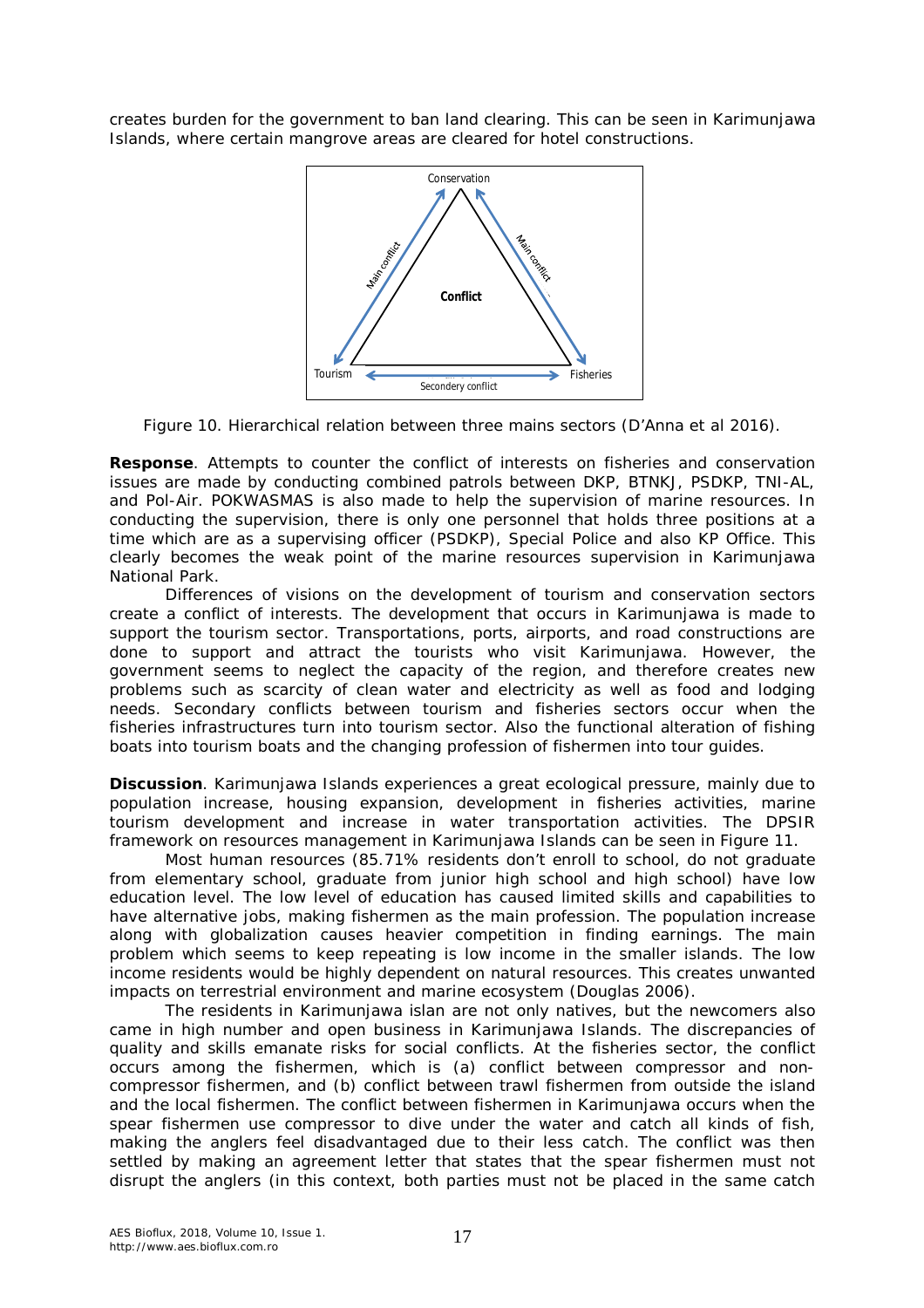creates burden for the government to ban land clearing. This can be seen in Karimunjawa Islands, where certain mangrove areas are cleared for hotel constructions.



Figure 10. Hierarchical relation between three mains sectors (D'Anna et al 2016).

*Response.* Attempts to counter the conflict of interests on fisheries and conservation issues are made by conducting combined patrols between DKP, BTNKJ, PSDKP, TNI-AL, and Pol-Air. POKWASMAS is also made to help the supervision of marine resources. In conducting the supervision, there is only one personnel that holds three positions at a time which are as a supervising officer (PSDKP), Special Police and also KP Office. This clearly becomes the weak point of the marine resources supervision in Karimunjawa National Park.

Differences of visions on the development of tourism and conservation sectors create a conflict of interests. The development that occurs in Karimunjawa is made to support the tourism sector. Transportations, ports, airports, and road constructions are done to support and attract the tourists who visit Karimunjawa. However, the government seems to neglect the capacity of the region, and therefore creates new problems such as scarcity of clean water and electricity as well as food and lodging needs. Secondary conflicts between tourism and fisheries sectors occur when the fisheries infrastructures turn into tourism sector. Also the functional alteration of fishing boats into tourism boats and the changing profession of fishermen into tour guides.

**Discussion**. Karimunjawa Islands experiences a great ecological pressure, mainly due to population increase, housing expansion, development in fisheries activities, marine tourism development and increase in water transportation activities. The DPSIR framework on resources management in Karimunjawa Islands can be seen in Figure 11.

Most human resources (85.71% residents don't enroll to school, do not graduate from elementary school, graduate from junior high school and high school) have low education level. The low level of education has caused limited skills and capabilities to have alternative jobs, making fishermen as the main profession. The population increase along with globalization causes heavier competition in finding earnings. The main problem which seems to keep repeating is low income in the smaller islands. The low income residents would be highly dependent on natural resources. This creates unwanted impacts on terrestrial environment and marine ecosystem (Douglas 2006).

The residents in Karimunjawa islan are not only natives, but the newcomers also came in high number and open business in Karimunjawa Islands. The discrepancies of quality and skills emanate risks for social conflicts. At the fisheries sector, the conflict occurs among the fishermen, which is (a) conflict between compressor and noncompressor fishermen, and (b) conflict between trawl fishermen from outside the island and the local fishermen. The conflict between fishermen in Karimunjawa occurs when the spear fishermen use compressor to dive under the water and catch all kinds of fish, making the anglers feel disadvantaged due to their less catch. The conflict was then settled by making an agreement letter that states that the spear fishermen must not disrupt the anglers (in this context, both parties must not be placed in the same catch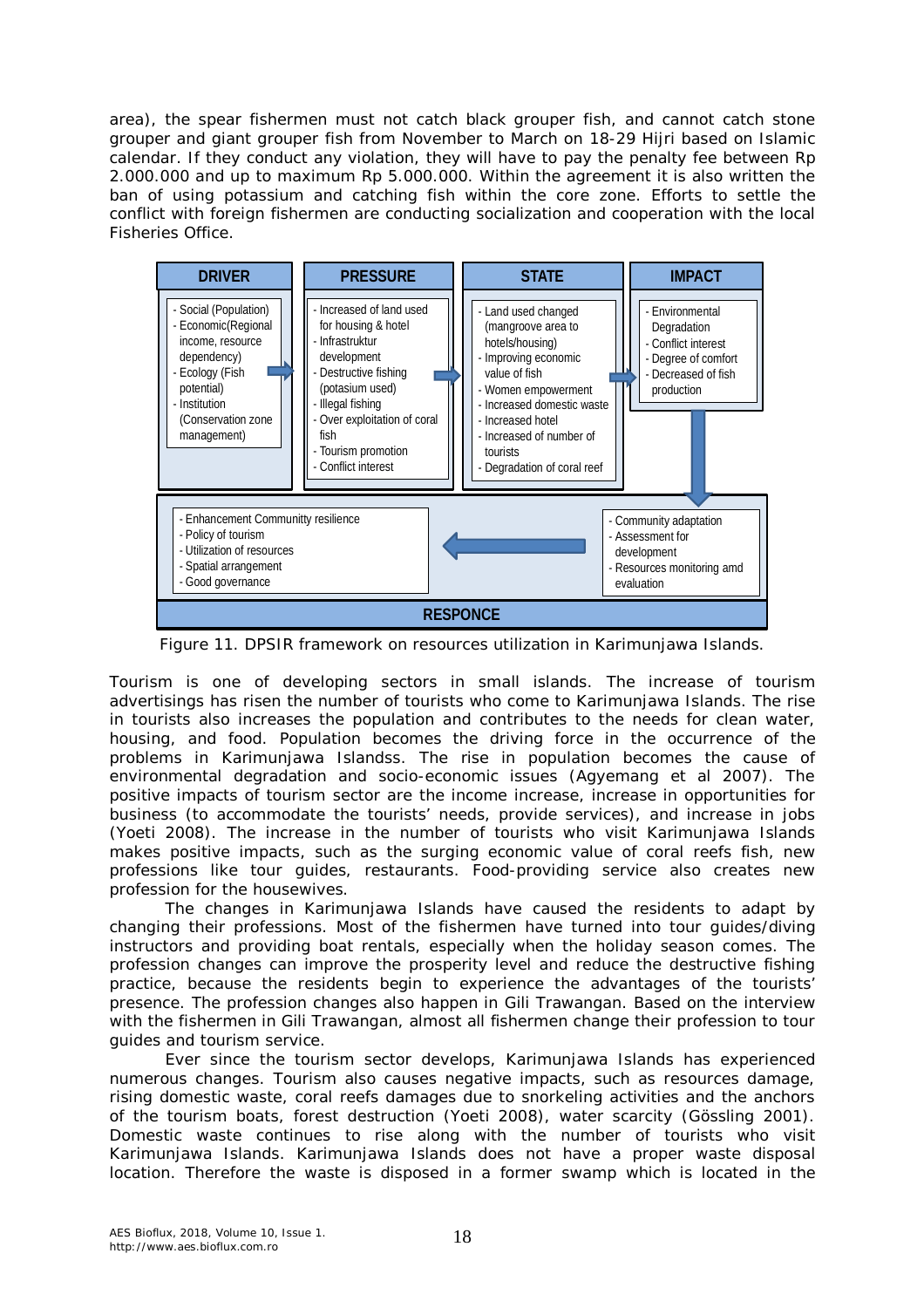area), the spear fishermen must not catch black grouper fish, and cannot catch stone grouper and giant grouper fish from November to March on 18-29 Hijri based on Islamic calendar. If they conduct any violation, they will have to pay the penalty fee between Rp 2.000.000 and up to maximum Rp 5.000.000. Within the agreement it is also written the ban of using potassium and catching fish within the core zone. Efforts to settle the conflict with foreign fishermen are conducting socialization and cooperation with the local Fisheries Office.



Figure 11. DPSIR framework on resources utilization in Karimunjawa Islands.

Tourism is one of developing sectors in small islands. The increase of tourism advertisings has risen the number of tourists who come to Karimunjawa Islands. The rise in tourists also increases the population and contributes to the needs for clean water, housing, and food. Population becomes the driving force in the occurrence of the problems in Karimunjawa Islandss. The rise in population becomes the cause of environmental degradation and socio-economic issues (Agyemang et al 2007). The positive impacts of tourism sector are the income increase, increase in opportunities for business (to accommodate the tourists' needs, provide services), and increase in jobs (Yoeti 2008). The increase in the number of tourists who visit Karimunjawa Islands makes positive impacts, such as the surging economic value of coral reefs fish, new professions like tour guides, restaurants. Food-providing service also creates new profession for the housewives.

The changes in Karimunjawa Islands have caused the residents to adapt by changing their professions. Most of the fishermen have turned into tour guides/diving instructors and providing boat rentals, especially when the holiday season comes. The profession changes can improve the prosperity level and reduce the destructive fishing practice, because the residents begin to experience the advantages of the tourists' presence. The profession changes also happen in Gili Trawangan. Based on the interview with the fishermen in Gili Trawangan, almost all fishermen change their profession to tour guides and tourism service.

Ever since the tourism sector develops, Karimunjawa Islands has experienced numerous changes. Tourism also causes negative impacts, such as resources damage, rising domestic waste, coral reefs damages due to snorkeling activities and the anchors of the tourism boats, forest destruction (Yoeti 2008), water scarcity (Gössling 2001). Domestic waste continues to rise along with the number of tourists who visit Karimunjawa Islands. Karimunjawa Islands does not have a proper waste disposal location. Therefore the waste is disposed in a former swamp which is located in the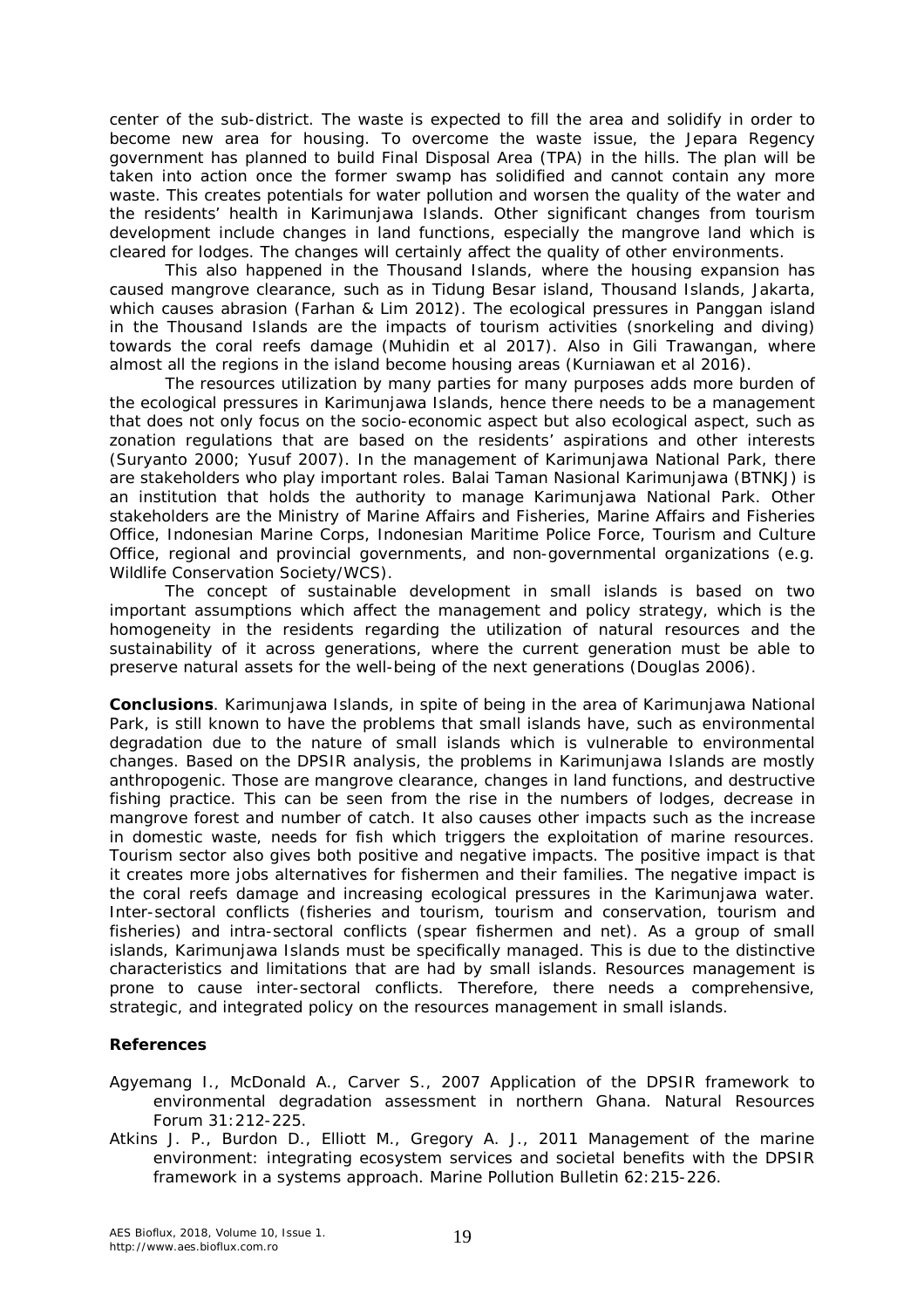center of the sub-district. The waste is expected to fill the area and solidify in order to become new area for housing. To overcome the waste issue, the Jepara Regency government has planned to build Final Disposal Area (TPA) in the hills. The plan will be taken into action once the former swamp has solidified and cannot contain any more waste. This creates potentials for water pollution and worsen the quality of the water and the residents' health in Karimunjawa Islands. Other significant changes from tourism development include changes in land functions, especially the mangrove land which is cleared for lodges. The changes will certainly affect the quality of other environments.

This also happened in the Thousand Islands, where the housing expansion has caused mangrove clearance, such as in Tidung Besar island, Thousand Islands, Jakarta, which causes abrasion (Farhan & Lim 2012). The ecological pressures in Panggan island in the Thousand Islands are the impacts of tourism activities (snorkeling and diving) towards the coral reefs damage (Muhidin et al 2017). Also in Gili Trawangan, where almost all the regions in the island become housing areas (Kurniawan et al 2016).

The resources utilization by many parties for many purposes adds more burden of the ecological pressures in Karimunjawa Islands, hence there needs to be a management that does not only focus on the socio-economic aspect but also ecological aspect, such as zonation regulations that are based on the residents' aspirations and other interests (Suryanto 2000; Yusuf 2007). In the management of Karimunjawa National Park, there are stakeholders who play important roles. Balai Taman Nasional Karimunjawa (BTNKJ) is an institution that holds the authority to manage Karimunjawa National Park. Other stakeholders are the Ministry of Marine Affairs and Fisheries, Marine Affairs and Fisheries Office, Indonesian Marine Corps, Indonesian Maritime Police Force, Tourism and Culture Office, regional and provincial governments, and non-governmental organizations (e.g. Wildlife Conservation Society/WCS).

The concept of sustainable development in small islands is based on two important assumptions which affect the management and policy strategy, which is the homogeneity in the residents regarding the utilization of natural resources and the sustainability of it across generations, where the current generation must be able to preserve natural assets for the well-being of the next generations (Douglas 2006).

**Conclusions**. Karimunjawa Islands, in spite of being in the area of Karimunjawa National Park, is still known to have the problems that small islands have, such as environmental degradation due to the nature of small islands which is vulnerable to environmental changes. Based on the DPSIR analysis, the problems in Karimunjawa Islands are mostly anthropogenic. Those are mangrove clearance, changes in land functions, and destructive fishing practice. This can be seen from the rise in the numbers of lodges, decrease in mangrove forest and number of catch. It also causes other impacts such as the increase in domestic waste, needs for fish which triggers the exploitation of marine resources. Tourism sector also gives both positive and negative impacts. The positive impact is that it creates more jobs alternatives for fishermen and their families. The negative impact is the coral reefs damage and increasing ecological pressures in the Karimunjawa water. Inter-sectoral conflicts (fisheries and tourism, tourism and conservation, tourism and fisheries) and intra-sectoral conflicts (spear fishermen and net). As a group of small islands, Karimunjawa Islands must be specifically managed. This is due to the distinctive characteristics and limitations that are had by small islands. Resources management is prone to cause inter-sectoral conflicts. Therefore, there needs a comprehensive, strategic, and integrated policy on the resources management in small islands.

## **References**

- Agyemang I., McDonald A., Carver S., 2007 Application of the DPSIR framework to environmental degradation assessment in northern Ghana. Natural Resources Forum 31:212-225.
- Atkins J. P., Burdon D., Elliott M., Gregory A. J., 2011 Management of the marine environment: integrating ecosystem services and societal benefits with the DPSIR framework in a systems approach. Marine Pollution Bulletin 62:215-226.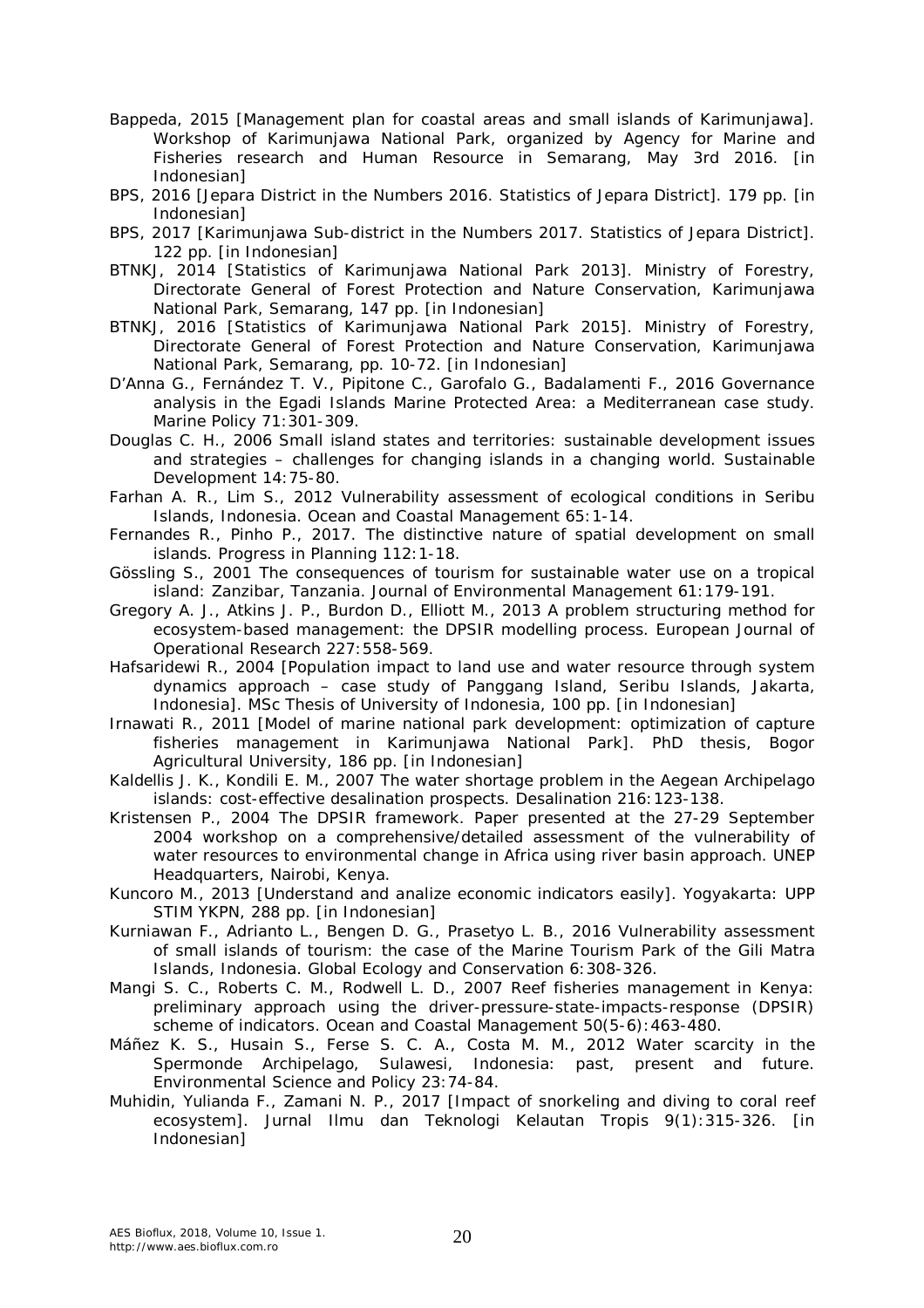- Bappeda, 2015 [Management plan for coastal areas and small islands of Karimunjawa]. Workshop of Karimunjawa National Park, organized by Agency for Marine and Fisheries research and Human Resource in Semarang, May 3rd 2016. [in Indonesian]
- BPS, 2016 [Jepara District in the Numbers 2016. Statistics of Jepara District]. 179 pp. [in Indonesian]
- BPS, 2017 [Karimunjawa Sub-district in the Numbers 2017. Statistics of Jepara District]. 122 pp. [in Indonesian]
- BTNKJ, 2014 [Statistics of Karimunjawa National Park 2013]. Ministry of Forestry, Directorate General of Forest Protection and Nature Conservation, Karimunjawa National Park, Semarang, 147 pp. [in Indonesian]
- BTNKJ, 2016 [Statistics of Karimunjawa National Park 2015]. Ministry of Forestry, Directorate General of Forest Protection and Nature Conservation, Karimunjawa National Park, Semarang, pp. 10-72. [in Indonesian]
- D'Anna G., Fernández T. V., Pipitone C., Garofalo G., Badalamenti F., 2016 Governance analysis in the Egadi Islands Marine Protected Area: a Mediterranean case study. Marine Policy 71:301-309.
- Douglas C. H., 2006 Small island states and territories: sustainable development issues and strategies – challenges for changing islands in a changing world. Sustainable Development 14:75-80.
- Farhan A. R., Lim S., 2012 Vulnerability assessment of ecological conditions in Seribu Islands, Indonesia. Ocean and Coastal Management 65:1-14.
- Fernandes R., Pinho P., 2017. The distinctive nature of spatial development on small islands. Progress in Planning 112:1-18.
- Gössling S., 2001 The consequences of tourism for sustainable water use on a tropical island: Zanzibar, Tanzania. Journal of Environmental Management 61:179-191.
- Gregory A. J., Atkins J. P., Burdon D., Elliott M., 2013 A problem structuring method for ecosystem-based management: the DPSIR modelling process. European Journal of Operational Research 227:558-569.
- Hafsaridewi R., 2004 [Population impact to land use and water resource through system dynamics approach – case study of Panggang Island, Seribu Islands, Jakarta, Indonesia]. MSc Thesis of University of Indonesia, 100 pp. [in Indonesian]
- Irnawati R., 2011 [Model of marine national park development: optimization of capture fisheries management in Karimunjawa National Park]. PhD thesis, Bogor Agricultural University, 186 pp. [in Indonesian]
- Kaldellis J. K., Kondili E. M., 2007 The water shortage problem in the Aegean Archipelago islands: cost-effective desalination prospects. Desalination 216:123-138.
- Kristensen P., 2004 The DPSIR framework. Paper presented at the 27-29 September 2004 workshop on a comprehensive/detailed assessment of the vulnerability of water resources to environmental change in Africa using river basin approach. UNEP Headquarters, Nairobi, Kenya.
- Kuncoro M., 2013 [Understand and analize economic indicators easily]. Yogyakarta: UPP STIM YKPN, 288 pp. [in Indonesian]
- Kurniawan F., Adrianto L., Bengen D. G., Prasetyo L. B., 2016 Vulnerability assessment of small islands of tourism: the case of the Marine Tourism Park of the Gili Matra Islands, Indonesia. Global Ecology and Conservation 6:308-326.
- Mangi S. C., Roberts C. M., Rodwell L. D., 2007 Reef fisheries management in Kenya: preliminary approach using the driver-pressure-state-impacts-response (DPSIR) scheme of indicators. Ocean and Coastal Management 50(5-6):463-480.
- Máñez K. S., Husain S., Ferse S. C. A., Costa M. M., 2012 Water scarcity in the Spermonde Archipelago, Sulawesi, Indonesia: past, present and future. Environmental Science and Policy 23:74-84.
- Muhidin, Yulianda F., Zamani N. P., 2017 [Impact of snorkeling and diving to coral reef ecosystem]. Jurnal Ilmu dan Teknologi Kelautan Tropis 9(1):315-326. [in Indonesian]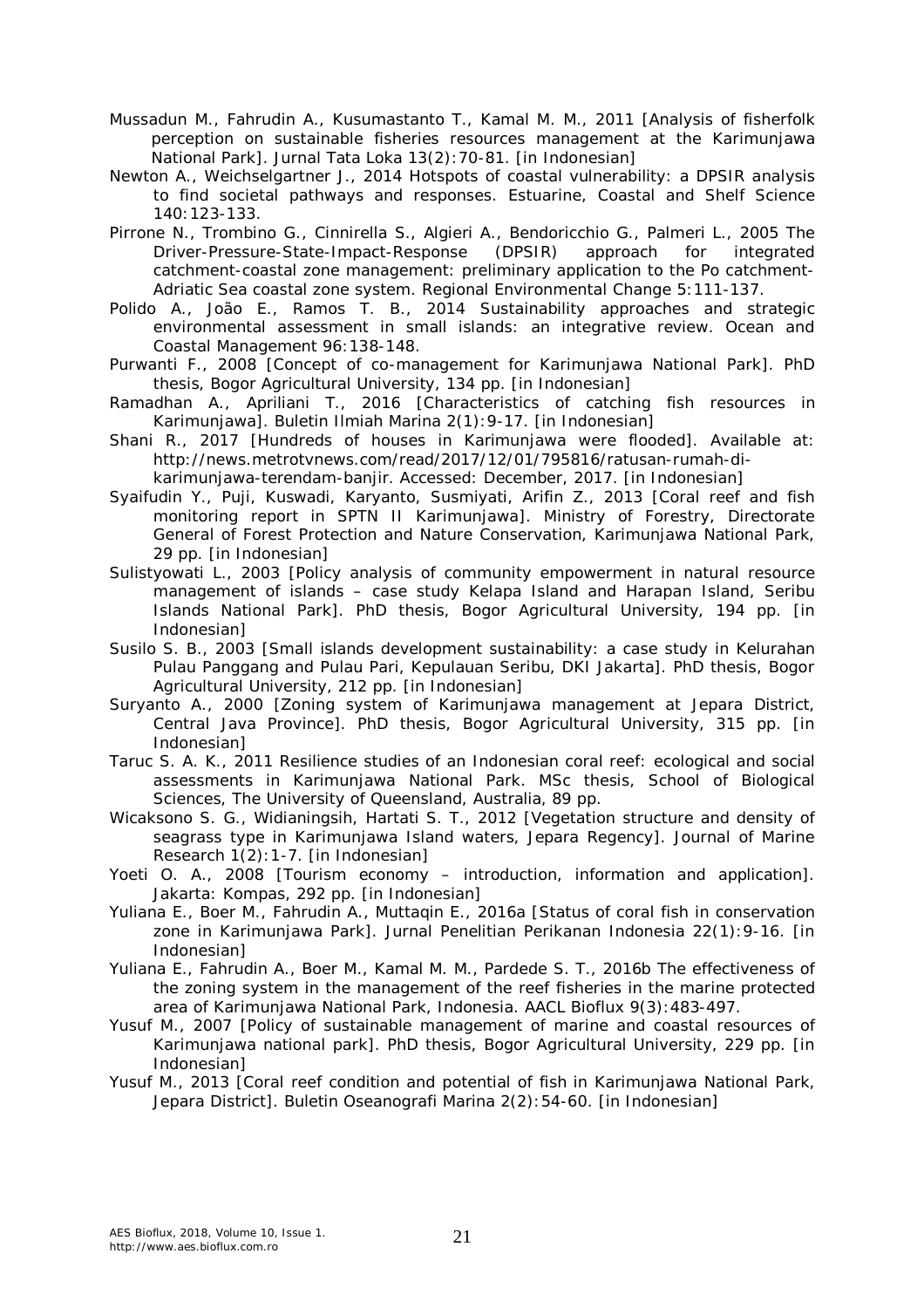- Mussadun M., Fahrudin A., Kusumastanto T., Kamal M. M., 2011 [Analysis of fisherfolk perception on sustainable fisheries resources management at the Karimunjawa National Park]. Jurnal Tata Loka 13(2):70-81. [in Indonesian]
- Newton A., Weichselgartner J., 2014 Hotspots of coastal vulnerability: a DPSIR analysis to find societal pathways and responses. Estuarine, Coastal and Shelf Science 140:123-133.
- Pirrone N., Trombino G., Cinnirella S., Algieri A., Bendoricchio G., Palmeri L., 2005 The Driver-Pressure-State-Impact-Response (DPSIR) approach for integrated catchment-coastal zone management: preliminary application to the Po catchment-Adriatic Sea coastal zone system. Regional Environmental Change 5:111-137.
- Polido A., João E., Ramos T. B., 2014 Sustainability approaches and strategic environmental assessment in small islands: an integrative review. Ocean and Coastal Management 96:138-148.
- Purwanti F., 2008 [Concept of co-management for Karimunjawa National Park]. PhD thesis, Bogor Agricultural University, 134 pp. [in Indonesian]
- Ramadhan A., Apriliani T., 2016 [Characteristics of catching fish resources in Karimunjawa]. Buletin Ilmiah Marina 2(1):9-17. [in Indonesian]
- Shani R., 2017 [Hundreds of houses in Karimunjawa were flooded]. Available at: http://news.metrotvnews.com/read/2017/12/01/795816/ratusan-rumah-dikarimunjawa-terendam-banjir. Accessed: December, 2017. [in Indonesian]
- Syaifudin Y., Puji, Kuswadi, Karyanto, Susmiyati, Arifin Z., 2013 [Coral reef and fish monitoring report in SPTN II Karimunjawa]. Ministry of Forestry, Directorate General of Forest Protection and Nature Conservation, Karimunjawa National Park, 29 pp. [in Indonesian]
- Sulistyowati L., 2003 [Policy analysis of community empowerment in natural resource management of islands – case study Kelapa Island and Harapan Island, Seribu Islands National Park]. PhD thesis, Bogor Agricultural University, 194 pp. [in Indonesian]
- Susilo S. B., 2003 [Small islands development sustainability: a case study in Kelurahan Pulau Panggang and Pulau Pari, Kepulauan Seribu, DKI Jakarta]. PhD thesis, Bogor Agricultural University, 212 pp. [in Indonesian]
- Suryanto A., 2000 [Zoning system of Karimunjawa management at Jepara District, Central Java Province]. PhD thesis, Bogor Agricultural University, 315 pp. [in Indonesian]
- Taruc S. A. K., 2011 Resilience studies of an Indonesian coral reef: ecological and social assessments in Karimunjawa National Park. MSc thesis, School of Biological Sciences, The University of Queensland, Australia, 89 pp.
- Wicaksono S. G., Widianingsih, Hartati S. T., 2012 [Vegetation structure and density of seagrass type in Karimunjawa Island waters, Jepara Regency]. Journal of Marine Research 1(2):1-7. [in Indonesian]
- Yoeti O. A., 2008 [Tourism economy introduction, information and application]. Jakarta: Kompas, 292 pp. [in Indonesian]
- Yuliana E., Boer M., Fahrudin A., Muttaqin E., 2016a [Status of coral fish in conservation zone in Karimunjawa Park]. Jurnal Penelitian Perikanan Indonesia 22(1):9-16. [in Indonesian]
- Yuliana E., Fahrudin A., Boer M., Kamal M. M., Pardede S. T., 2016b The effectiveness of the zoning system in the management of the reef fisheries in the marine protected area of Karimunjawa National Park, Indonesia. AACL Bioflux 9(3):483-497.
- Yusuf M., 2007 [Policy of sustainable management of marine and coastal resources of Karimunjawa national park]. PhD thesis, Bogor Agricultural University, 229 pp. [in Indonesian]
- Yusuf M., 2013 [Coral reef condition and potential of fish in Karimunjawa National Park, Jepara District]. Buletin Oseanografi Marina 2(2):54-60. [in Indonesian]